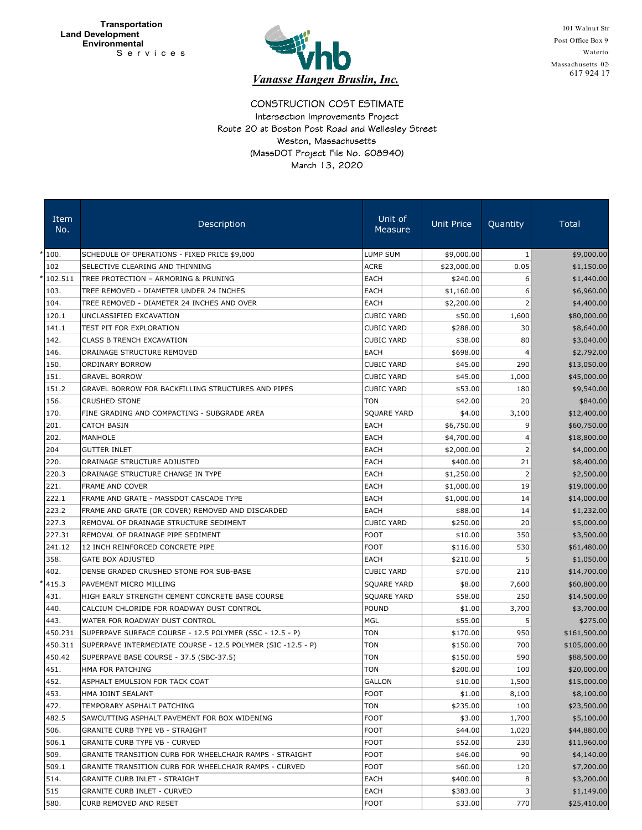

101 Walnut Str Post Office Box 91 Waterto<sup>'</sup> Massachusetts 024 617 924 17

## CONSTRUCTION COST ESTIMATE March 13, 2020 (MassDOT Project File No. 608940) Route 20 at Boston Post Road and Wellesley Street Intersection Improvements Project Weston, Massachusetts

| Item<br>No. | Description                                                  | Unit of<br>Measure | <b>Unit Price</b> | Quantity       | Total        |
|-------------|--------------------------------------------------------------|--------------------|-------------------|----------------|--------------|
| 100.        | SCHEDULE OF OPERATIONS - FIXED PRICE \$9,000                 | LUMP SUM           | \$9,000.00        | 1              | \$9,000.00   |
| 102         | SELECTIVE CLEARING AND THINNING                              | <b>ACRE</b>        | \$23,000.00       | 0.05           | \$1,150.00   |
| 102.511     | TREE PROTECTION - ARMORING & PRUNING                         | EACH               | \$240.00          | 6              | \$1,440.00   |
| 103.        | TREE REMOVED - DIAMETER UNDER 24 INCHES                      | EACH               | \$1,160.00        | 6              | \$6,960.00   |
| 104.        | TREE REMOVED - DIAMETER 24 INCHES AND OVER                   | EACH               | \$2,200.00        | 2              | \$4,400.00   |
| 120.1       | UNCLASSIFIED EXCAVATION                                      | <b>CUBIC YARD</b>  | \$50.00           | 1,600          | \$80,000.00  |
| 141.1       | TEST PIT FOR EXPLORATION                                     | <b>CUBIC YARD</b>  | \$288.00          | 30             | \$8,640.00   |
| 142.        | CLASS B TRENCH EXCAVATION                                    | <b>CUBIC YARD</b>  | \$38.00           | 80             | \$3,040.00   |
| 146.        | DRAINAGE STRUCTURE REMOVED                                   | EACH               | \$698.00          | 4              | \$2,792.00   |
| 150.        | ORDINARY BORROW                                              | <b>CUBIC YARD</b>  | \$45.00           | 290            | \$13,050.00  |
| 151.        | <b>GRAVEL BORROW</b>                                         | <b>CUBIC YARD</b>  | \$45.00           | 1,000          | \$45,000.00  |
| 151.2       | <b>GRAVEL BORROW FOR BACKFILLING STRUCTURES AND PIPES</b>    | <b>CUBIC YARD</b>  | \$53.00           | 180            | \$9,540.00   |
| 156.        | <b>CRUSHED STONE</b>                                         | TON                | \$42.00           | 20             | \$840.00     |
| 170.        | FINE GRADING AND COMPACTING - SUBGRADE AREA                  | SQUARE YARD        | \$4.00            | 3,100          | \$12,400.00  |
| 201.        | <b>CATCH BASIN</b>                                           | EACH               | \$6,750.00        | 9              | \$60,750.00  |
| 202.        | MANHOLE                                                      | EACH               | \$4,700.00        | 4              | \$18,800.00  |
| 204         | <b>GUTTER INLET</b>                                          | EACH               | \$2,000.00        | 2              | \$4,000.00   |
| 220.        | DRAINAGE STRUCTURE ADJUSTED                                  | EACH               | \$400.00          | 21             | \$8,400.00   |
| 220.3       | DRAINAGE STRUCTURE CHANGE IN TYPE                            | EACH               | \$1,250.00        | $\overline{2}$ | \$2,500.00   |
| 221.        | <b>FRAME AND COVER</b>                                       | EACH               | \$1,000.00        | 19             | \$19,000.00  |
| 222.1       | FRAME AND GRATE - MASSDOT CASCADE TYPE                       | EACH               | \$1,000.00        | 14             | \$14,000.00  |
| 223.2       | FRAME AND GRATE (OR COVER) REMOVED AND DISCARDED             | EACH               | \$88.00           | 14             | \$1,232.00   |
| 227.3       | REMOVAL OF DRAINAGE STRUCTURE SEDIMENT                       | <b>CUBIC YARD</b>  | \$250.00          | 20             | \$5,000.00   |
| 227.31      | REMOVAL OF DRAINAGE PIPE SEDIMENT                            | <b>FOOT</b>        | \$10.00           | 350            | \$3,500.00   |
| 241.12      | 12 INCH REINFORCED CONCRETE PIPE                             | <b>FOOT</b>        | \$116.00          | 530            | \$61,480.00  |
| 358.        | <b>GATE BOX ADJUSTED</b>                                     | EACH               | \$210.00          | 5              | \$1,050.00   |
| 402.        | DENSE GRADED CRUSHED STONE FOR SUB-BASE                      | <b>CUBIC YARD</b>  | \$70.00           | 210            | \$14,700.00  |
| 415.3       | PAVEMENT MICRO MILLING                                       | SQUARE YARD        | \$8.00            | 7,600          | \$60,800.00  |
| 431.        | HIGH EARLY STRENGTH CEMENT CONCRETE BASE COURSE              | SQUARE YARD        | \$58.00           | 250            | \$14,500.00  |
| 440.        | CALCIUM CHLORIDE FOR ROADWAY DUST CONTROL                    | <b>POUND</b>       | \$1.00            | 3,700          | \$3,700.00   |
| 443.        | WATER FOR ROADWAY DUST CONTROL                               | MGL                | \$55.00           | 5              | \$275.00     |
| 450.231     | SUPERPAVE SURFACE COURSE - 12.5 POLYMER (SSC - 12.5 - P)     | <b>TON</b>         | \$170.00          | 950            | \$161,500.00 |
| 450.311     | SUPERPAVE INTERMEDIATE COURSE - 12.5 POLYMER (SIC -12.5 - P) | <b>TON</b>         | \$150.00          | 700            | \$105,000.00 |
| 450.42      | SUPERPAVE BASE COURSE - 37.5 (SBC-37.5)                      | <b>TON</b>         | \$150.00          | 590            | \$88,500.00  |
| 451.        | HMA FOR PATCHING                                             | TON                | \$200.00          | 100            | \$20,000.00  |
| 452.        | ASPHALT EMULSION FOR TACK COAT                               | <b>GALLON</b>      | \$10.00           | 1,500          | \$15,000.00  |
| 453.        | HMA JOINT SEALANT                                            | <b>FOOT</b>        | \$1.00            | 8,100          | \$8,100.00   |
| 472.        | TEMPORARY ASPHALT PATCHING                                   | <b>TON</b>         | \$235.00          | 100            | \$23,500.00  |
| 482.5       | SAWCUTTING ASPHALT PAVEMENT FOR BOX WIDENING                 | <b>FOOT</b>        | \$3.00            | 1,700          | \$5,100.00   |
| 506.        | <b>GRANITE CURB TYPE VB - STRAIGHT</b>                       | <b>FOOT</b>        | \$44.00           | 1,020          | \$44,880.00  |
| 506.1       | <b>GRANITE CURB TYPE VB - CURVED</b>                         | <b>FOOT</b>        | \$52.00           | 230            | \$11,960.00  |
| 509.        | GRANITE TRANSITION CURB FOR WHEELCHAIR RAMPS - STRAIGHT      | FOOT               | \$46.00           | 90             | \$4,140.00   |
| 509.1       | GRANITE TRANSITION CURB FOR WHEELCHAIR RAMPS - CURVED        | <b>FOOT</b>        | \$60.00           | 120            | \$7,200.00   |
| 514.        | <b>GRANITE CURB INLET - STRAIGHT</b>                         | EACH               | \$400.00          | 8              | \$3,200.00   |
| 515         | <b>GRANITE CURB INLET - CURVED</b>                           | EACH               | \$383.00          | 3              | \$1,149.00   |
| 580.        | CURB REMOVED AND RESET                                       | <b>FOOT</b>        | \$33.00           | 770            | \$25,410.00  |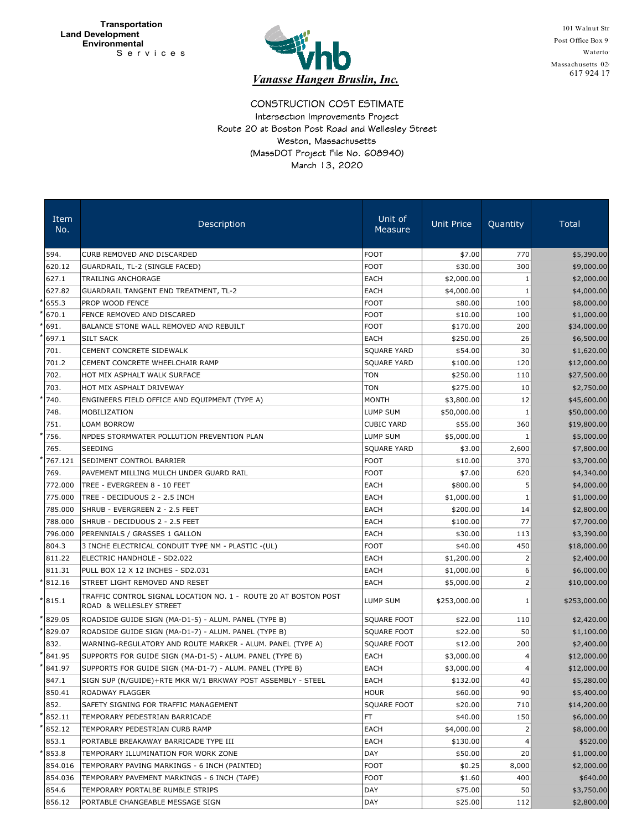

101 Walnut Str Post Office Box 91 Waterto<sup>'</sup> Massachusetts 024 617 924 17

CONSTRUCTION COST ESTIMATE March 13, 2020 (MassDOT Project File No. 608940) Route 20 at Boston Post Road and Wellesley Street Intersection Improvements Project Weston, Massachusetts

| Item<br>No. | Description                                                                                | Unit of<br>Measure | <b>Unit Price</b> | Quantity | <b>Total</b> |
|-------------|--------------------------------------------------------------------------------------------|--------------------|-------------------|----------|--------------|
| 594.        | CURB REMOVED AND DISCARDED                                                                 | <b>FOOT</b>        | \$7.00            | 770      | \$5,390.00   |
| 620.12      | GUARDRAIL, TL-2 (SINGLE FACED)                                                             | <b>FOOT</b>        | \$30.00           | 300      | \$9,000.00   |
| 627.1       | <b>TRAILING ANCHORAGE</b>                                                                  | EACH               | \$2,000.00        | 1        | \$2,000.00   |
| 627.82      | <b>GUARDRAIL TANGENT END TREATMENT, TL-2</b>                                               | <b>EACH</b>        | \$4,000.00        | 1        | \$4,000.00   |
| 655.3       | PROP WOOD FENCE                                                                            | <b>FOOT</b>        | \$80.00           | 100      | \$8,000.00   |
| 670.1       | FENCE REMOVED AND DISCARED                                                                 | FOOT               | \$10.00           | 100      | \$1,000.00   |
| 691.        | BALANCE STONE WALL REMOVED AND REBUILT                                                     | <b>FOOT</b>        | \$170.00          | 200      | \$34,000.00  |
| 697.1       | <b>SILT SACK</b>                                                                           | EACH               | \$250.00          | 26       | \$6,500.00   |
| 701.        | CEMENT CONCRETE SIDEWALK                                                                   | SQUARE YARD        | \$54.00           | 30       | \$1,620.00   |
| 701.2       | CEMENT CONCRETE WHEELCHAIR RAMP                                                            | SQUARE YARD        | \$100.00          | 120      | \$12,000.00  |
| 702.        | HOT MIX ASPHALT WALK SURFACE                                                               | <b>TON</b>         | \$250.00          | 110      | \$27,500.00  |
| 703.        | HOT MIX ASPHALT DRIVEWAY                                                                   | <b>TON</b>         | \$275.00          | 10       | \$2,750.00   |
| 740.        | ENGINEERS FIELD OFFICE AND EQUIPMENT (TYPE A)                                              | <b>MONTH</b>       | \$3,800.00        | 12       | \$45,600.00  |
| 748.        | MOBILIZATION                                                                               | LUMP SUM           | \$50,000.00       | 1        | \$50,000.00  |
| 751.        | LOAM BORROW                                                                                | <b>CUBIC YARD</b>  | \$55.00           | 360      | \$19,800.00  |
| 756.        | NPDES STORMWATER POLLUTION PREVENTION PLAN                                                 | LUMP SUM           | \$5,000.00        |          | \$5,000.00   |
| 765.        | <b>SEEDING</b>                                                                             | SQUARE YARD        | \$3.00            | 2,600    | \$7,800.00   |
| 767.121     | SEDIMENT CONTROL BARRIER                                                                   | <b>FOOT</b>        | \$10.00           | 370      | \$3,700.00   |
| 769.        | PAVEMENT MILLING MULCH UNDER GUARD RAIL                                                    | <b>FOOT</b>        | \$7.00            | 620      | \$4,340.00   |
| 772.000     | TREE - EVERGREEN 8 - 10 FEET                                                               | EACH               | \$800.00          | 5        | \$4,000.00   |
| 775.000     | TREE - DECIDUOUS 2 - 2.5 INCH                                                              | EACH               | \$1,000.00        |          | \$1,000.00   |
| 785.000     | SHRUB - EVERGREEN 2 - 2.5 FEET                                                             | <b>EACH</b>        | \$200.00          | 14       | \$2,800.00   |
| 788.000     | SHRUB - DECIDUOUS 2 - 2.5 FEET                                                             | EACH               | \$100.00          | 77       | \$7,700.00   |
| 796.000     | PERENNIALS / GRASSES 1 GALLON                                                              | EACH               | \$30.00           | 113      | \$3,390.00   |
| 804.3       | 3 INCHE ELECTRICAL CONDUIT TYPE NM - PLASTIC -(UL)                                         | <b>FOOT</b>        | \$40.00           | 450      | \$18,000.00  |
| 811.22      | ELECTRIC HANDHOLE - SD2.022                                                                | EACH               | \$1,200.00        | 2        | \$2,400.00   |
| 811.31      | PULL BOX 12 X 12 INCHES - SD2.031                                                          | EACH               | \$1,000.00        | 6        | \$6,000.00   |
| 812.16      | STREET LIGHT REMOVED AND RESET                                                             | EACH               | \$5,000.00        | 2        | \$10,000.00  |
| 815.1       | TRAFFIC CONTROL SIGNAL LOCATION NO. 1 - ROUTE 20 AT BOSTON POST<br>ROAD & WELLESLEY STREET | LUMP SUM           | \$253,000.00      | 1        | \$253,000.00 |
| 829.05      | ROADSIDE GUIDE SIGN (MA-D1-5) - ALUM. PANEL (TYPE B)                                       | SQUARE FOOT        | \$22.00           | 110      | \$2,420.00   |
| 829.07      | ROADSIDE GUIDE SIGN (MA-D1-7) - ALUM. PANEL (TYPE B)                                       | SQUARE FOOT        | \$22.00           | 50       | \$1,100.00   |
| 832.        | WARNING-REGULATORY AND ROUTE MARKER - ALUM. PANEL (TYPE A)                                 | SQUARE FOOT        | \$12.00           | 200      | \$2,400.00   |
| 841.95      | SUPPORTS FOR GUIDE SIGN (MA-D1-5) - ALUM. PANEL (TYPE B)                                   | EACH               | \$3,000.00        | 4        | \$12,000.00  |
| 841.97      | SUPPORTS FOR GUIDE SIGN (MA-D1-7) - ALUM. PANEL (TYPE B)                                   | EACH               | \$3,000.00        | 4        | \$12,000.00  |
| 847.1       | SIGN SUP (N/GUIDE)+RTE MKR W/1 BRKWAY POST ASSEMBLY - STEEL                                | EACH               | \$132.00          | 40       | \$5,280.00   |
| 850.41      | ROADWAY FLAGGER                                                                            | HOUR               | \$60.00           | 90       | \$5,400.00   |
| 852.        | SAFETY SIGNING FOR TRAFFIC MANAGEMENT                                                      | SQUARE FOOT        | \$20.00           | 710      | \$14,200.00  |
| 852.11      | TEMPORARY PEDESTRIAN BARRICADE                                                             | FT.                | \$40.00           | 150      | \$6,000.00   |
| 852.12      | TEMPORARY PEDESTRIAN CURB RAMP                                                             | EACH               | \$4,000.00        | 2        | \$8,000.00   |
| 853.1       | PORTABLE BREAKAWAY BARRICADE TYPE III                                                      | EACH               | \$130.00          | 4        | \$520.00     |
| 853.8       | TEMPORARY ILLUMINATION FOR WORK ZONE                                                       | DAY                | \$50.00           | 20       | \$1,000.00   |
| 854.016     | TEMPORARY PAVING MARKINGS - 6 INCH (PAINTED)                                               | <b>FOOT</b>        | \$0.25            | 8,000    | \$2,000.00   |
| 854.036     | TEMPORARY PAVEMENT MARKINGS - 6 INCH (TAPE)                                                | <b>FOOT</b>        | \$1.60            | 400      | \$640.00     |
| 854.6       | TEMPORARY PORTALBE RUMBLE STRIPS                                                           | DAY                | \$75.00           | 50       | \$3,750.00   |
| 856.12      | PORTABLE CHANGEABLE MESSAGE SIGN                                                           | DAY                | \$25.00           | 112      | \$2,800.00   |